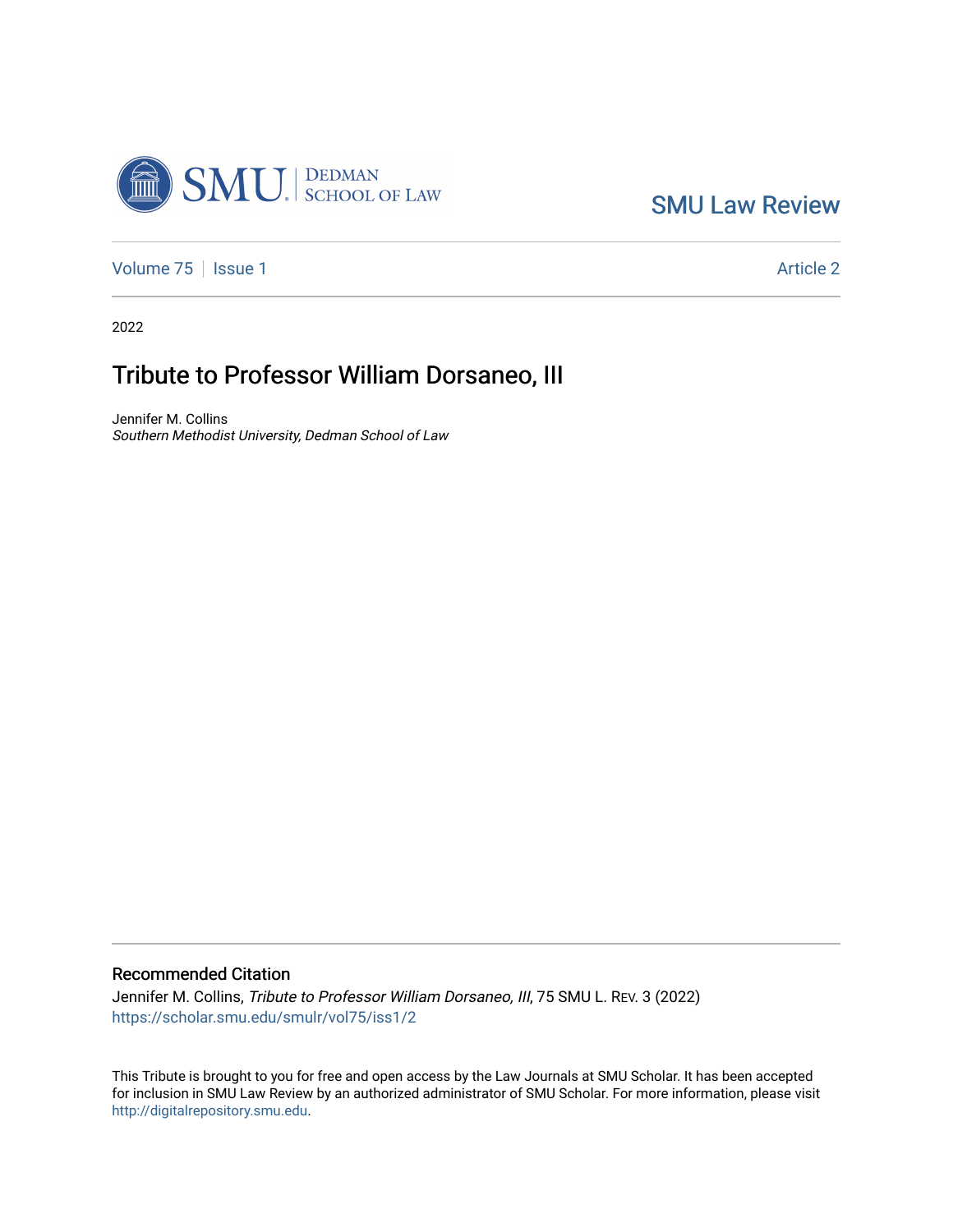

[SMU Law Review](https://scholar.smu.edu/smulr) 

[Volume 75](https://scholar.smu.edu/smulr/vol75) | [Issue 1](https://scholar.smu.edu/smulr/vol75/iss1) Article 2

2022

## Tribute to Professor William Dorsaneo, III

Jennifer M. Collins Southern Methodist University, Dedman School of Law

## Recommended Citation

Jennifer M. Collins, Tribute to Professor William Dorsaneo, III, 75 SMU L. REV. 3 (2022) [https://scholar.smu.edu/smulr/vol75/iss1/2](https://scholar.smu.edu/smulr/vol75/iss1/2?utm_source=scholar.smu.edu%2Fsmulr%2Fvol75%2Fiss1%2F2&utm_medium=PDF&utm_campaign=PDFCoverPages) 

This Tribute is brought to you for free and open access by the Law Journals at SMU Scholar. It has been accepted for inclusion in SMU Law Review by an authorized administrator of SMU Scholar. For more information, please visit [http://digitalrepository.smu.edu.](http://digitalrepository.smu.edu/)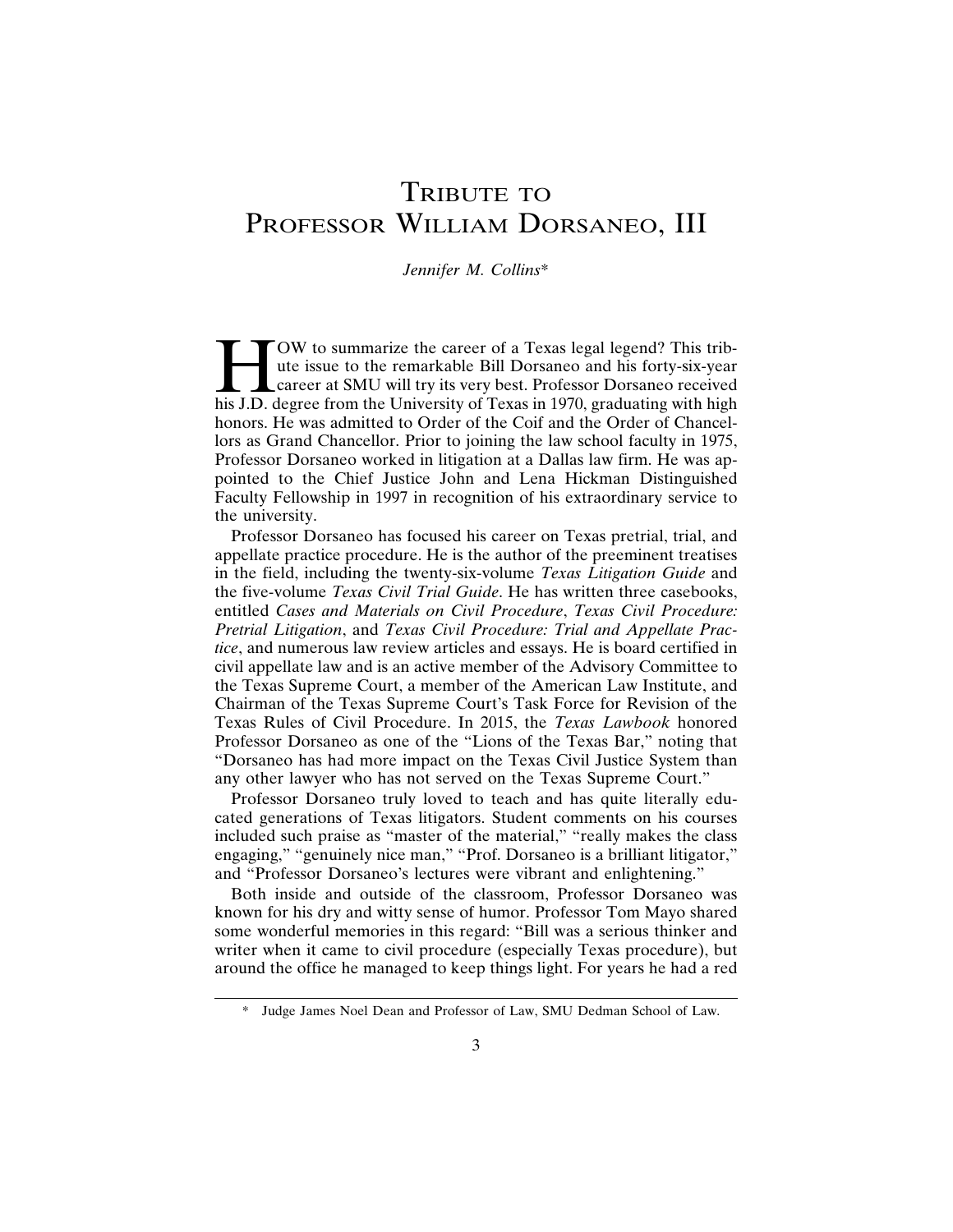## TRIBUTE TO PROFESSOR WILLIAM DORSANEO, III

## *Jennifer M. Collins*\*

TOW to summarize the career of a Texas legal legend? This trib-<br>te issue to the remarkable Bill Dorsaneo and his forty-six-year<br>career at SMU will try its very best. Professor Dorsaneo received<br>his J.D. degree from the Uni ute issue to the remarkable Bill Dorsaneo and his forty-six-year career at SMU will try its very best. Professor Dorsaneo received his J.D. degree from the University of Texas in 1970, graduating with high honors. He was admitted to Order of the Coif and the Order of Chancellors as Grand Chancellor. Prior to joining the law school faculty in 1975, Professor Dorsaneo worked in litigation at a Dallas law firm. He was appointed to the Chief Justice John and Lena Hickman Distinguished Faculty Fellowship in 1997 in recognition of his extraordinary service to the university.

Professor Dorsaneo has focused his career on Texas pretrial, trial, and appellate practice procedure. He is the author of the preeminent treatises in the field, including the twenty-six-volume *Texas Litigation Guide* and the five-volume *Texas Civil Trial Guide*. He has written three casebooks, entitled *Cases and Materials on Civil Procedure*, *Texas Civil Procedure: Pretrial Litigation*, and *Texas Civil Procedure: Trial and Appellate Practice*, and numerous law review articles and essays. He is board certified in civil appellate law and is an active member of the Advisory Committee to the Texas Supreme Court, a member of the American Law Institute, and Chairman of the Texas Supreme Court's Task Force for Revision of the Texas Rules of Civil Procedure. In 2015, the *Texas Lawbook* honored Professor Dorsaneo as one of the "Lions of the Texas Bar," noting that "Dorsaneo has had more impact on the Texas Civil Justice System than any other lawyer who has not served on the Texas Supreme Court."

Professor Dorsaneo truly loved to teach and has quite literally educated generations of Texas litigators. Student comments on his courses included such praise as "master of the material," "really makes the class engaging," "genuinely nice man," "Prof. Dorsaneo is a brilliant litigator," and "Professor Dorsaneo's lectures were vibrant and enlightening."

Both inside and outside of the classroom, Professor Dorsaneo was known for his dry and witty sense of humor. Professor Tom Mayo shared some wonderful memories in this regard: "Bill was a serious thinker and writer when it came to civil procedure (especially Texas procedure), but around the office he managed to keep things light. For years he had a red

<sup>\*</sup> Judge James Noel Dean and Professor of Law, SMU Dedman School of Law.